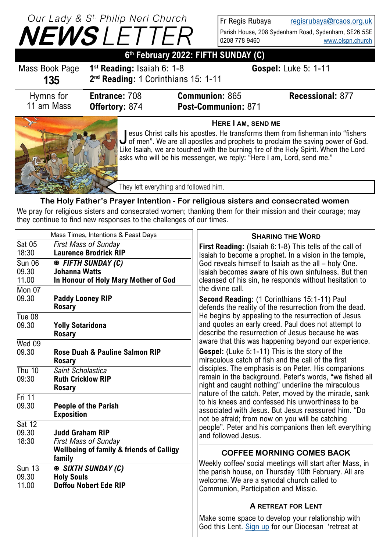## **NEWS** *LETTER Our Lady & S t. Philip Neri Church*

Fr Regis Rubaya [regisrubaya@rcaos.org.uk](mailto:regisrubaya@rcaos.org.uk) Parish House, 208 Sydenham Road, Sydenham, SE26 5SE 0208 778 9460 [www.olspn.church](http://www.olspn.church)

|                                                                                                                                                                                             |                                                                                                                                                                                                                                                | I V L V V U L L I                                                                                                                                                                                                                                                        |  | 0208 778 9460                                                                                                                                                                                                                                                                                                                                                                       | www.olspn.church                                                                                                                                                                                                                                                                                                                                                                                                                                                                                                                                                                                                                                                                                                                                                                                                                                                                                                                                                                                                                                                                                                                                                                                                                                                                        |  |  |
|---------------------------------------------------------------------------------------------------------------------------------------------------------------------------------------------|------------------------------------------------------------------------------------------------------------------------------------------------------------------------------------------------------------------------------------------------|--------------------------------------------------------------------------------------------------------------------------------------------------------------------------------------------------------------------------------------------------------------------------|--|-------------------------------------------------------------------------------------------------------------------------------------------------------------------------------------------------------------------------------------------------------------------------------------------------------------------------------------------------------------------------------------|-----------------------------------------------------------------------------------------------------------------------------------------------------------------------------------------------------------------------------------------------------------------------------------------------------------------------------------------------------------------------------------------------------------------------------------------------------------------------------------------------------------------------------------------------------------------------------------------------------------------------------------------------------------------------------------------------------------------------------------------------------------------------------------------------------------------------------------------------------------------------------------------------------------------------------------------------------------------------------------------------------------------------------------------------------------------------------------------------------------------------------------------------------------------------------------------------------------------------------------------------------------------------------------------|--|--|
| 6th February 2022: FIFTH SUNDAY (C)                                                                                                                                                         |                                                                                                                                                                                                                                                |                                                                                                                                                                                                                                                                          |  |                                                                                                                                                                                                                                                                                                                                                                                     |                                                                                                                                                                                                                                                                                                                                                                                                                                                                                                                                                                                                                                                                                                                                                                                                                                                                                                                                                                                                                                                                                                                                                                                                                                                                                         |  |  |
| 1 <sup>st</sup> Reading: Isaiah 6: 1-8<br>Mass Book Page<br>2 <sup>nd</sup> Reading: 1 Corinthians 15: 1-11<br>135                                                                          |                                                                                                                                                                                                                                                |                                                                                                                                                                                                                                                                          |  |                                                                                                                                                                                                                                                                                                                                                                                     | <b>Gospel: Luke 5: 1-11</b>                                                                                                                                                                                                                                                                                                                                                                                                                                                                                                                                                                                                                                                                                                                                                                                                                                                                                                                                                                                                                                                                                                                                                                                                                                                             |  |  |
| Hymns for<br>11 am Mass                                                                                                                                                                     |                                                                                                                                                                                                                                                | <b>Communion: 865</b><br><b>Entrance: 708</b><br>Post-Communion: 871<br><b>Offertory: 874</b>                                                                                                                                                                            |  | <b>Recessional: 877</b>                                                                                                                                                                                                                                                                                                                                                             |                                                                                                                                                                                                                                                                                                                                                                                                                                                                                                                                                                                                                                                                                                                                                                                                                                                                                                                                                                                                                                                                                                                                                                                                                                                                                         |  |  |
|                                                                                                                                                                                             |                                                                                                                                                                                                                                                | They left everything and followed him.                                                                                                                                                                                                                                   |  |                                                                                                                                                                                                                                                                                                                                                                                     | HERE I AM, SEND ME<br>esus Christ calls his apostles. He transforms them from fisherman into "fishers"<br>$\bigcup$ of men". We are all apostles and prophets to proclaim the saving power of God.<br>Like Isaiah, we are touched with the burning fire of the Holy Spirit. When the Lord<br>asks who will be his messenger, we reply: "Here I am, Lord, send me."                                                                                                                                                                                                                                                                                                                                                                                                                                                                                                                                                                                                                                                                                                                                                                                                                                                                                                                      |  |  |
| The Holy Father's Prayer Intention - For religious sisters and consecrated women                                                                                                            |                                                                                                                                                                                                                                                |                                                                                                                                                                                                                                                                          |  |                                                                                                                                                                                                                                                                                                                                                                                     |                                                                                                                                                                                                                                                                                                                                                                                                                                                                                                                                                                                                                                                                                                                                                                                                                                                                                                                                                                                                                                                                                                                                                                                                                                                                                         |  |  |
|                                                                                                                                                                                             |                                                                                                                                                                                                                                                | they continue to find new responses to the challenges of our times.                                                                                                                                                                                                      |  |                                                                                                                                                                                                                                                                                                                                                                                     | We pray for religious sisters and consecrated women; thanking them for their mission and their courage; may                                                                                                                                                                                                                                                                                                                                                                                                                                                                                                                                                                                                                                                                                                                                                                                                                                                                                                                                                                                                                                                                                                                                                                             |  |  |
| Sat 05<br>18:30<br><b>Sun 06</b><br>09.30<br>11.00<br>Mon 07<br>09.30<br>Tue 08<br>09.30<br>Wed 09<br>09.30<br><b>Thu 10</b><br>09:30<br>Fri 11<br>09.30<br><b>Sat 12</b><br>09.30<br>18:30 | <b>Johanna Watts</b><br><b>Paddy Looney RIP</b><br><b>Rosary</b><br><b>Yolly Sotaridona</b><br><b>Rosary</b><br><b>Rosary</b><br>Saint Scholastica<br><b>Ruth Cricklow RIP</b><br><b>Rosary</b><br><b>Exposition</b><br><b>Judd Graham RIP</b> | Mass Times, Intentions & Feast Days<br><b>First Mass of Sunday</b><br><b>Laurence Brodrick RIP</b><br><b>EX FIFTH SUNDAY (C)</b><br>In Honour of Holy Mary Mother of God<br>Rose Duah & Pauline Salmon RIP<br><b>People of the Parish</b><br><b>First Mass of Sunday</b> |  |                                                                                                                                                                                                                                                                                                                                                                                     | <b>SHARING THE WORD</b><br><b>First Reading:</b> (Isaiah 6:1-8) This tells of the call of<br>Isaiah to become a prophet. In a vision in the temple,<br>God reveals himself to Isaiah as the all – holy One.<br>Isaiah becomes aware of his own sinfulness. But then<br>cleansed of his sin, he responds without hesitation to<br>the divine call.<br>Second Reading: (1 Corinthians 15:1-11) Paul<br>defends the reality of the resurrection from the dead.<br>He begins by appealing to the resurrection of Jesus<br>and quotes an early creed. Paul does not attempt to<br>describe the resurrection of Jesus because he was<br>aware that this was happening beyond our experience.<br><b>Gospel:</b> (Luke 5:1-11) This is the story of the<br>miraculous catch of fish and the call of the first<br>disciples. The emphasis is on Peter. His companions<br>remain in the background. Peter's words, "we fished all<br>night and caught nothing" underline the miraculous<br>nature of the catch. Peter, moved by the miracle, sank<br>to his knees and confessed his unworthiness to be<br>associated with Jesus. But Jesus reassured him. "Do<br>not be afraid; from now on you will be catching<br>people". Peter and his companions then left everything<br>and followed Jesus. |  |  |
| <b>Sun 13</b><br>09.30<br>11.00                                                                                                                                                             | family<br><b>Holy Souls</b>                                                                                                                                                                                                                    | <b>Wellbeing of family &amp; friends of Calligy</b><br><b>EXAMPLE SUNDAY (C)</b><br><b>Doffou Nobert Ede RIP</b>                                                                                                                                                         |  | <b>COFFEE MORNING COMES BACK</b><br>Weekly coffee/ social meetings will start after Mass, in<br>the parish house, on Thursday 10th February. All are<br>welcome. We are a synodal church called to<br>Communion, Participation and Missio.<br><b>A RETREAT FOR LENT</b><br>Make some space to develop your relationship with<br>God this Lent. Sign up for our Diocesan 'retreat at |                                                                                                                                                                                                                                                                                                                                                                                                                                                                                                                                                                                                                                                                                                                                                                                                                                                                                                                                                                                                                                                                                                                                                                                                                                                                                         |  |  |